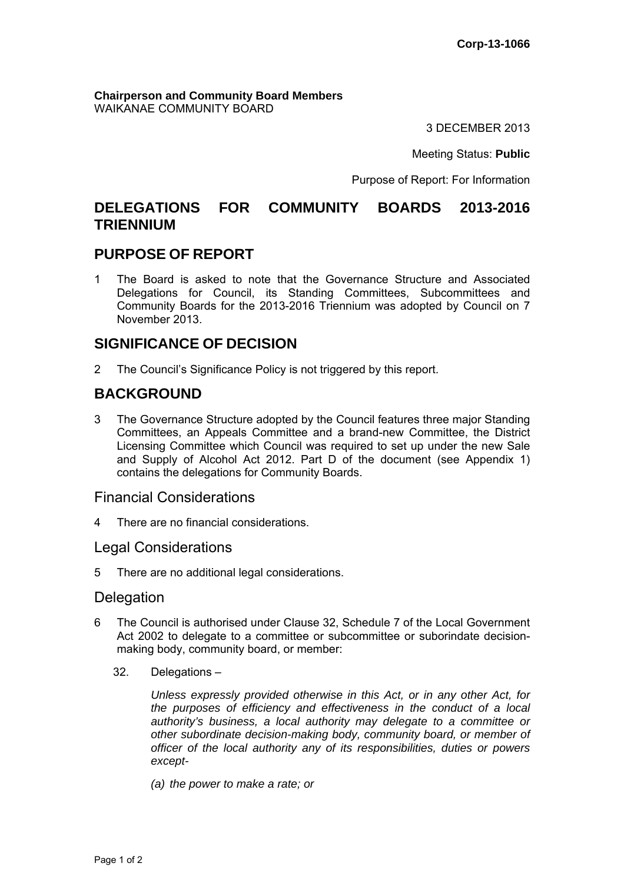**Chairperson and Community Board Members** WAIKANAE COMMUNITY BOARD

3 DECEMBER 2013

Meeting Status: **Public**

Purpose of Report: For Information

# **DELEGATIONS FOR COMMUNITY BOARDS 2013-2016 TRIENNIUM**

## **PURPOSE OF REPORT**

1 The Board is asked to note that the Governance Structure and Associated Delegations for Council, its Standing Committees, Subcommittees and Community Boards for the 2013-2016 Triennium was adopted by Council on 7 November 2013.

# **SIGNIFICANCE OF DECISION**

2 The Council's Significance Policy is not triggered by this report.

# **BACKGROUND**

3 The Governance Structure adopted by the Council features three major Standing Committees, an Appeals Committee and a brand-new Committee, the District Licensing Committee which Council was required to set up under the new Sale and Supply of Alcohol Act 2012. Part D of the document (see Appendix 1) contains the delegations for Community Boards.

## Financial Considerations

4 There are no financial considerations.

#### Legal Considerations

5 There are no additional legal considerations.

# **Delegation**

- 6 The Council is authorised under Clause 32, Schedule 7 of the Local Government Act 2002 to delegate to a committee or subcommittee or suborindate decisionmaking body, community board, or member:
	- 32. Delegations –

*Unless expressly provided otherwise in this Act, or in any other Act, for the purposes of efficiency and effectiveness in the conduct of a local authority's business, a local authority may delegate to a committee or other subordinate decision-making body, community board, or member of officer of the local authority any of its responsibilities, duties or powers except-* 

*(a) the power to make a rate; or*